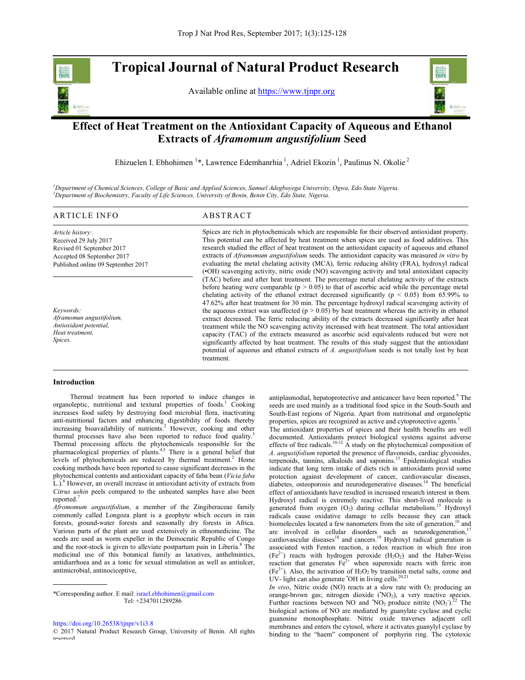# Tropical Journal of Natural Product Research

Available online at https://www.tjnpr.org



## Effect of Heat Treatment on the Antioxidant Capacity of Aqueous and Ethanol Extracts of Aframomum angustifolium Seed

Ehizuelen I. Ebhohimen <sup>1</sup>\*, Lawrence Edemhanrhia <sup>1</sup>, Adriel Ekozin <sup>1</sup>, Paulinus N. Okolie <sup>2</sup>

<sup>1</sup>Department of Chemical Sciences, College of Basic and Applied Sciences, Samuel Adegboyega University, Ogwa, Edo State Nigeria.<br><sup>2</sup>Department of Biochemistry, Faculty of Life Sciences, University of Benin, Benin City, Ed

Article history: Received 29 July 2017 Revised 01 September 2017 Accepted 08 September 2017 Published online 09 September 2017

Keywords: Aframomun angustifolium, Antioxidant potential, Heat treatment, Spices.

Trop J Nat Prod Res, September 2017; 1(3):125-128<br> **Available online at <u>https://www.tinpr.org</u><br>
Available online at <u>https://www.tinpr.org</u><br>
Available online at <u>https://www.tinpr.org</u><br>
Effect of Heat Treatment on the An** Spices are rich in phytochemicals which are responsible for their observed antioxidant property. This potential can be affected by heat treatment when spices are used as food additives. This research studied the effect of heat treatment on the antioxidant capacity of aqueous and ethanol extracts of Aframomum angustifolium seeds. The antioxidant capacity was measured in vitro by evaluating the metal chelating activity (MCA), ferric reducing ability (FRA), hydroxyl radical (•OH) scavenging activity, nitric oxide (NO) scavenging activity and total antioxidant capacity (TAC) before and after heat treatment. The percentage metal chelating activity of the extracts before heating were comparable ( $p > 0.05$ ) to that of ascorbic acid while the percentage metal chelating activity of the ethanol extract decreased significantly ( $p < 0.05$ ) from 65.99% to 47.62% after heat treatment for 30 min. The percentage hydroxyl radical scavenging activity of the aqueous extract was unaffected ( $p > 0.05$ ) by heat treatment whereas the activity in ethanol extract decreased. The ferric reducing ability of the extracts decreased significantly after heat treatment while the NO scavenging activity increased with heat treatment. The total antioxidant capacity (TAC) of the extracts measured as ascorbic acid equivalents reduced but were not significantly affected by heat treatment. The results of this study suggest that the antioxidant potential of aqueous and ethanol extracts of A. angustifolium seeds is not totally lost by heat treatment.

#### Introduction

 Thermal treatment has been reported to induce changes in organoleptic, nutritional and textural properties of foods.<sup>1</sup> Cooking increases food safety by destroying food microbial flora, inactivating anti-nutritional factors and enhancing digestibility of foods thereby increasing bioavailability of nutrients.<sup>2</sup> However, cooking and other  $\overrightarrow{ }$  The antioxidant pro thermal processes have also been reported to reduce food quality.<sup>3</sup> Thermal processing affects the phytochemicals responsible for the pharmacological properties of plants.4,5 There is a general belief that levels of phytochemicals are reduced by thermal treatment.<sup>2</sup> Home cooking methods have been reported to cause significant decreases in the phytochemical contents and antioxidant capacity of faba bean (Vicia faba  $\text{L.}$ <sup>6</sup> However, an overall increase in antioxidant activity of extracts from  $\overrightarrow{diabetes}$ , osteoporos Citrus ushin peels compared to the unheated samples have also been reported.<sup>7</sup>

Afromomum angustifolium, a member of the Zingiberaceae family commonly called Longoza plant is a geophyte which occurs in rain forests, ground-water forests and seasonally dry forests in Africa. Various parts of the plant are used extensively in ethnomedicine. The seeds are used as worm expeller in the Democratic Republic of Congo and the root-stock is given to alleviate postpartum pain in Liberia.<sup>8</sup> The medicinal use of this botanical family as laxatives, anthelmintics, antidiarrhoea and as a tonic for sexual stimulation as well as antiulcer, antimicrobial, antinociceptive,

\*Corresponding author. E mail: israel.ebhohimen@gmail.com Tel: +2347011289286

 Cooking seeds are used mainly as a traditional food spice in the South-South and antiplasmodial, hepatoprotective and anticancer have been reported.<sup>9</sup> The South-East regions of Nigeria. Apart from nutritional and organoleptic properties, spices are recognized as active and cytoprotective agents.

Home terpenoids, tannins, alkaloids and saponins.<sup>13</sup> Epidemiological studies The associated with Fenton reaction, a redox reaction in which free iron The antioxidant properties of spices and their health benefits are well documented. Antioxidants protect biological systems against adverse effects of free radicals.<sup>10-12</sup> A study on the phytochemical composition of A. angustifolium reported the presence of flavonoids, cardiac glycosides, indicate that long term intake of diets rich in antioxidants provid some protection against development of cancer, cardiovascular diseases, diabetes, osteoporosis and neurodegenerative diseases.<sup>14</sup> The beneficial effect of antioxidants have resulted in increased research interest in them. Hydroxyl radical is extremely reactive. This short-lived molecule is generated from oxygen (O<sub>2</sub>) during cellular metabolism.<sup>15</sup> Hydroxyl radicals cause oxidative damage to cells because they can attack biomolecules located a few nanometers from the site of generation,<sup>16</sup> and are involved in cellular disorders such as neurodegeneration, $17$ cardiovascular diseases<sup>18</sup> and cancers.<sup>19</sup> Hydroxyl radical generation is  $(Fe<sup>2+</sup>)$  reacts with hydrogen peroxide  $(H<sub>2</sub>O<sub>2</sub>)$  and the Haber-Weiss reaction that generates  $Fe^{2+}$  when superoxide reacts with ferric iron  $(Fe<sup>3+</sup>)$ . Also, the activation of  $H_2O_2$  by transition metal salts, ozone and UV- light can also generate 'OH in living cells.<sup>20,21</sup>

In vivo, Nitric oxide (NO) reacts at a slow rate with  $O_2$  producing an orange-brown gas; nitrogen dioxide (NO2), a very reactive species. Further reactions between NO and  $NO<sub>2</sub>$  produce nitrite  $(NO<sub>2</sub>)<sup>22</sup>$  The biological actions of NO are mediated by guanylate cyclase and cyclic guanosine monosphosphate. Nitric oxide traverses adjacent cell membranes and enters the cytosol, where it activates guanylyl cyclase by binding to the "haem" component of porphyrin ring. The cytotoxic

https://doi.org/10.26538/tjnpr/v1i3.8

<sup>© 2017</sup> Natural Product Research Group, University of Benin. All rights reserved.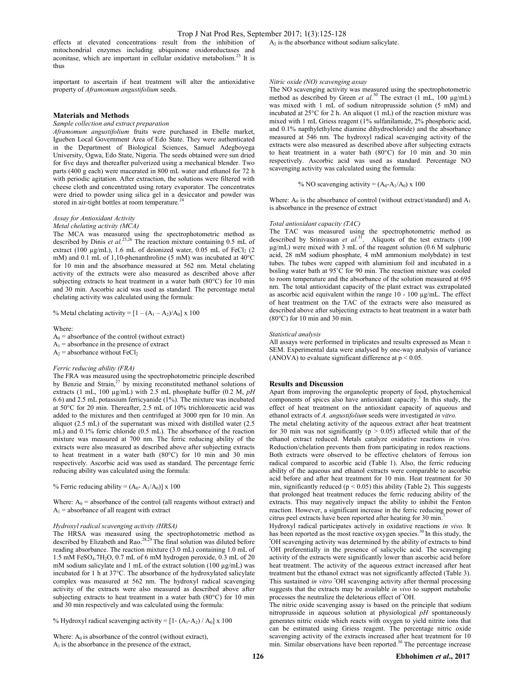effects at elevated concentrations result from the inhibition of mitochondrial enzymes including ubiquinone oxidoreductases and aconitase, which are important in cellular oxidative metabolism.<sup>23</sup> It is thus

important to ascertain if heat treatment will alter the antioxidative property of Aframomum angustifolium seeds.

### Materials and Methods

Sample collection and extract preparation

Aframomum angustifolium fruits were purchased in Ebelle market, Igueben Local Government Area of Edo State. They were authenticated in the Department of Biological Sciences, Samuel Adegboyega University, Ogwa, Edo State, Nigeria. The seeds obtained were sun dried for five days and thereafter pulverized using a mechanical blender. Two parts (400 g each) were macerated in 800 mL water and ethanol for 72 h with periodic agitation. After extraction, the solutions were filtered with cheese cloth and concentrated using rotary evaporator. The concentrates were dried to powder using silica gel in a desiccator and powder was stored in air-tight bottles at room temperature.<sup>24</sup>

#### Assay for Antioxidant Activity

Metal chelating activity (MCA)

The MCA was measured using the spectrophotometric method as described by Dinis *et al.*<sup>25,26</sup> The reaction mixture containing 0.5 mL of extract (100  $\mu$ g/mL), 1.6 mL of deionized water, 0.05 mL of FeCl<sub>2</sub> (2 mM) and 0.1 mL of 1,10-phenanthroline (5 mM) was incubated at 40°C for 10 min and the absorbance measured at 562 nm. Metal chelating activity of the extracts were also measured as described above after subjecting extracts to heat treatment in a water bath (80°C) for 10 min and 30 min. Ascorbic acid was used as standard. The percentage metal chelating activity was calculated using the formula:

% Metal chelating activity =  $[1 - (A_1 - A_2)/A_0]$  x 100

Where:

 $A_0$  = absorbance of the control (without extract)

 $A_1$  = absorbance in the presence of extract

 $A_2$  = absorbance without  $FeCl<sub>2</sub>$ 

#### Ferric reducing ability (FRA)

The FRA was measured using the spectrophotometric principle described by Benzie and Strain,<sup>27</sup> by mixing reconstituted methanol solutions of extracts (1 mL, 100  $\mu$ g/mL) with 2.5 mL phosphate buffer (0.2 M, pH 6.6) and 2.5 mL potassium ferricyanide (1%). The mixture was incubated at 50°C for 20 min. Thereafter, 2.5 mL of 10% trichloroacetic acid was added to the mixtures and then centrifuged at 3000 rpm for 10 min. An aliquot (2.5 mL) of the supernatant was mixed with distilled water (2.5 mL) and 0.1% ferric chloride (0.5 mL). The absorbance of the reaction mixture was measured at 700 nm. The ferric reducing ability of the extracts were also measured as described above after subjecting extracts to heat treatment in a water bath (80°C) for 10 min and 30 min respectively. Ascorbic acid was used as standard. The percentage ferric reducing ability was calculated using the formula:

% Ferric reducing ability =  $(A_0 - A_1/A_0)$  x 100

Where:  $A_0$  = absorbance of the control (all reagents without extract) and  $A_1$  = absorbance of all reagent with extract

#### Hydroxyl radical scavenging activity (HRSA)

The HRSA was measured using the spectrophotometric method as described by Elizabeth and Rao.<sup>28,29</sup> The final solution was diluted before reading absorbance. The reaction mixture (3.0 mL) containing 1.0 mL of 1.5 mM FeSO4.7H2O, 0.7 mL of 6 mM hydrogen peroxide, 0.3 mL of 20 mM sodium salicylate and 1 mL of the extract solution (100 µg/mL) was incubated for 1 h at 37°C. The absorbance of the hydroxylated salicylate complex was measured at 562 nm. The hydroxyl radical scavenging activity of the extracts were also measured as described above after subjecting extracts to heat treatment in a water bath (80°C) for 10 min and 30 min respectively and was calculated using the formula:

% Hydroxyl radical scavenging activity =  $[1-(A_1-A_2)/A_0]$  x 100

Where:  $A_0$  is absorbance of the control (without extract),

 $A<sub>1</sub>$  is the absorbance in the presence of the extract,

 $A<sub>2</sub>$  is the absorbance without sodium salicylate.

The NO scavenging activity was measured using the spectrophotometric method as described by Green et al.<sup>30</sup> The extract  $(1 \text{ mL}, 100 \text{ µg/mL})$ was mixed with 1 mL of sodium nitroprusside solution (5 mM) and incubated at 25°C for 2 h. An aliquot (1 mL) of the reaction mixture was mixed with 1 mL Griess reagent (1% sulfanilamide, 2% phosphoric acid, and 0.1% napthylethylene diamine dihydrochloride) and the absorbance measured at 546 nm. The hydroxyl radical scavenging activity of the extracts were also measured as described above after subjecting extracts to heat treatment in a water bath (80°C) for 10 min and 30 min respectively. Ascorbic acid was used as standard. Percentage NO scavenging activity was calculated using the formula:

#### % NO scavenging activity =  $(A_0-A_1/A_0)$  x 100

Where:  $A_0$  is the absorbance of control (without extract/standard) and  $A_1$ is absorbance in the presence of extract

#### Total antioxidant capacity (TAC)

The TAC was measured using the spectrophotometric method as described by Srinivasan *et al.*<sup>31</sup>. Aliquots of the test extracts  $(100$ µg/mL) were mixed with 3 mL of the reagent solution (0.6 M sulphuric acid, 28 mM sodium phosphate, 4 mM ammonium molybdate) in test tubes. The tubes were capped with aluminium foil and incubated in a boiling water bath at 95˚C for 90 min. The reaction mixture was cooled to room temperature and the absorbance of the solution measured at 695 nm. The total antioxidant capacity of the plant extract was extrapolated as ascorbic acid equivalent within the range  $10 - 100 \mu g/mL$ . The effect of heat treatment on the TAC of the extracts were also measured as described above after subjecting extracts to heat treatment in a water bath (80°C) for 10 min and 30 min.

#### Statistical analysis

All assays were performed in triplicates and results expressed as Mean  $\pm$ SEM. Experimental data were analysed by one-way analysis of variance (ANOVA) to evaluate significant difference at  $p < 0.05$ .

#### Results and Discussion

Apart from improving the organoleptic property of food, phytochemical components of spices also have antioxidant capacity.<sup>3</sup> In this study, the effect of heat treatment on the antioxidant capacity of aqueous and ethanol extracts of A. angustifolium seeds were investigated in vitro.

The metal chelating activity of the aqueous extract after heat treatment for 30 min was not significantly ( $p > 0.05$ ) affected while that of the ethanol extract reduced. Metals catalyze oxidative reactions in vivo. Reduction/chelation prevents them from participating in redox reactions. Both extracts were observed to be effective chelators of ferrous ion radical compared to ascorbic acid (Table 1). Also, the ferric reducing ability of the aqueous and ethanol extracts were comparable to ascorbic acid before and after heat treatment for 10 min. Heat treatment for 30 min, significantly reduced ( $p < 0.05$ ) this ability (Table 2). This suggests that prolonged heat treatment reduces the ferric reducing ability of the extracts. This may negatively impact the ability to inhibit the Fenton reaction. However, a significant increase in the ferric reducing power of citrus peel extracts have been reported after heating for 30 min.

Hydroxyl radical participates actively in oxidative reactions in vivo. It has been reported as the most reactive oxygen species. $30$  In this study, the •OH scavenging activity was determined by the ability of extracts to bind •OH preferentially in the presence of salicyclic acid. The scavenging activity of the extracts were significantly lower than ascorbic acid before heat treatment. The activity of the aqueous extract increased after heat treatment but the ethanol extract was not significantly affected (Table 3). This sustained in vitro 'OH scavenging activity after thermal processing suggests that the extracts may be available in vivo to support metabolic processes the neutralize the deleterious effect of •OH.

The nitric oxide scavenging assay is based on the principle that sodium nitroprusside in aqueous solution at physiological pH spontaneously generates nitric oxide which reacts with oxygen to yield nitrite ions that can be estimated using Griess reagent. The percentage nitric oxide scavenging activity of the extracts increased after heat treatment for 10 min. Similar observations have been reported. $30$  The percentage increase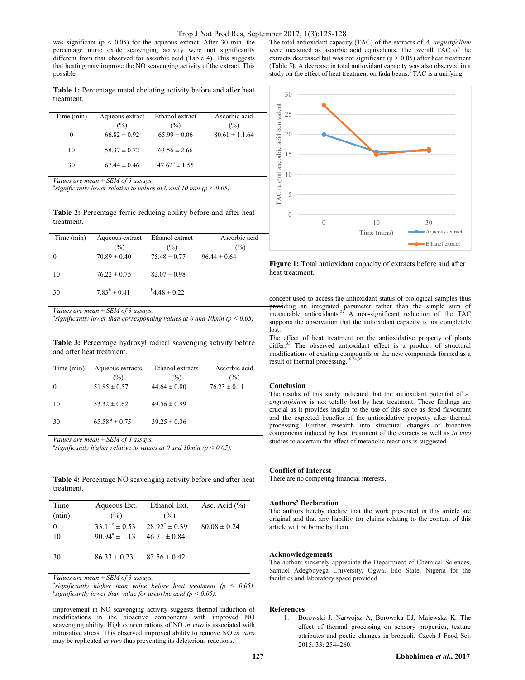was significant ( $p < 0.05$ ) for the aqueous extract. After 30 min, the percentage nitric oxide scavenging activity were not significantly different from that observed for ascorbic acid (Table 4). This suggests that heating may improve the NO scavenging activity of the extract. This possible

Table 1: Percentage metal chelating activity before and after heat treatment.

| Time (min) | Aqueous extract<br>(%) | Ethanol extract<br>$(\%)$ | Ascorbic acid<br>(%) |
|------------|------------------------|---------------------------|----------------------|
| $_{0}$     | $66.82 \pm 0.92$       | $65.99 \pm 0.06$          | $80.61 \pm 1.1.64$   |
| 10         | $58.37 \pm 0.72$       | $63.56 \pm 2.66$          |                      |
| 30         | $67.44 \pm 0.46$       | $47.62^{\circ} \pm 1.55$  |                      |

Values are mean  $\pm$  SEM of 3 assays.

<sup>a</sup>significantly lower relative to values at 0 and 10 min ( $p < 0.05$ ).

Table 2: Percentage ferric reducing ability before and after heat treatment.

| Time (min) | Aqueous extract   | Ethanol extract     | Ascorbic acid    |
|------------|-------------------|---------------------|------------------|
|            | $(\%)$            | (%)                 | $(\%)$           |
|            | $70.89 \pm 0.40$  | $75.48 \pm 0.77$    | $96.44 \pm 0.64$ |
|            |                   |                     |                  |
| 10         | $76.22 \pm 0.75$  | $82.07 \pm 0.98$    |                  |
|            |                   |                     |                  |
| 30         | $7.83^b \pm 0.41$ | $^{6}4.48 \pm 0.22$ |                  |
|            |                   |                     |                  |

Values are mean  $\pm$  SEM of 3 assays.

<sup>a</sup>significantly lower than corresponding values at 0 and 10min ( $p < 0.05$ )

Table 3: Percentage hydroxyl radical scavenging activity before and after heat treatment.

| Time (min) | Aqueous extracts            | Ethanol extracts | Ascorbic acid    |
|------------|-----------------------------|------------------|------------------|
|            | (%)                         | (%)              | (%)              |
|            | $51.85 \pm 0.57$            | $44.64 \pm 0.80$ | $76.23 \pm 0.11$ |
| 10         | $53.32 \pm 0.62$            | $49.56 \pm 0.99$ |                  |
| 30         | $65.58^{\text{a}} \pm 0.75$ | $39.25 \pm 0.36$ |                  |

Values are mean  $\pm$  SEM of 3 assays.

<sup>a</sup>significantly higher relative to values at 0 and 10min ( $p < 0.05$ ).

Table 4: Percentage NO scavenging activity before and after heat treatment.

| Time  | Aqueous Ext.             | Ethanol Ext.             | Asc. Acid $(\% )$ |
|-------|--------------------------|--------------------------|-------------------|
| (min) | (%)                      | (%)                      |                   |
|       | $33.11^{\circ} \pm 0.53$ | $28.92^{\circ} \pm 0.39$ | $80.08 \pm 0.24$  |
| 10    | $90.94^a \pm 1.13$       | $46.71 \pm 0.84$         |                   |
|       |                          |                          |                   |
| 30    | $86.33 \pm 0.23$         | $83.56 \pm 0.42$         |                   |

Values are mean  $\pm$  SEM of 3 assays.

"significantly higher than value before heat treatment ( $p < 0.05$ ). <sup>c</sup> significantly lower than value for ascorbic acid ( $p \le 0.05$ ).

improvement in NO scavenging activity suggests thermal induction of modifications in the bioactive components with improved NO scavenging ability. High concentrations of NO in vivo is associated with nitrosative stress. This observed improved ability to remove NO in vitro may be replicated in vivo thus preventing its deleterious reactions.

The total antioxidant capacity (TAC) of the extracts of  $A$ . angustifolium were measured as ascorbic acid equivalents. The overall TAC of the extracts decreased but was not significant ( $p > 0.05$ ) after heat treatment (Table 5). A decrease in total antioxidant capacity was also observed in a study on the effect of heat treatment on fada beans.<sup>5</sup> TAC is a unifying



Figure 1: Total antioxidant capacity of extracts before and after heat treatment.

concept used to access the antioxidant status of biological samples thus **providing** an integrated parameter rather than the simple sum of measurable antioxidants.<sup>32</sup> A non-significant reduction of the TAC supports the observation that the antioxidant capacity is not completely lost.

The effect of heat treatment on the antioxidative property of plants differ.<sup>33</sup> The observed antioxidant effect is a product of structural modifications of existing compounds or the new compounds formed as a result of thermal processing. <sup>6,34,35</sup>

#### Conclusion

The results of this study indicated that the antioxidant potential of A. angustifolium is not totally lost by heat treatment. These findings are crucial as it provides insight to the use of this spice as food flavourant and the expected benefits of the antioxidative property after thermal processing. Further research into structural changes of bioactive components induced by heat treatment of the extracts as well as in vivo studies to ascertain the effect of metabolic reactions is suggested.

#### Conflict of Interest

There are no competing financial interests.

#### Authors' Declaration

The authors hereby declare that the work presented in this article are original and that any liability for claims relating to the content of this article will be borne by them.

#### Acknowledgements

The authors sincerely appreciate the Department of Chemical Sciences, Samuel Adegboyega University, Ogwa, Edo State, Nigeria for the facilities and laboratory space provided.

### References

1. Borowski J, Narwojsz A, Borowska EJ, Majewska K. The effect of thermal processing on sensory properties, texture attributes and pectic changes in broccoli. Czech J Food Sci. 2015; 33: 254–260.